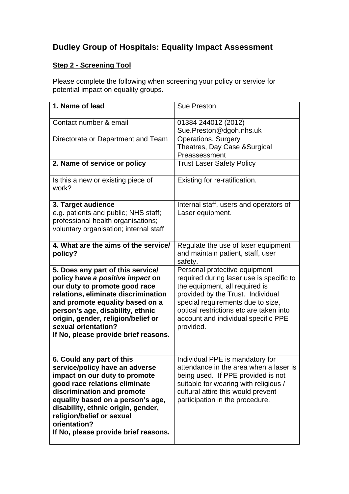## **Dudley Group of Hospitals: Equality Impact Assessment**

## **Step 2 - Screening Tool**

Please complete the following when screening your policy or service for potential impact on equality groups.

| 1. Name of lead                                                                                                                                                                                                                                                                                                             | <b>Sue Preston</b>                                                                                                                                                                                                                                                                   |
|-----------------------------------------------------------------------------------------------------------------------------------------------------------------------------------------------------------------------------------------------------------------------------------------------------------------------------|--------------------------------------------------------------------------------------------------------------------------------------------------------------------------------------------------------------------------------------------------------------------------------------|
| Contact number & email                                                                                                                                                                                                                                                                                                      | 01384 244012 (2012)<br>Sue.Preston@dgoh.nhs.uk                                                                                                                                                                                                                                       |
| Directorate or Department and Team                                                                                                                                                                                                                                                                                          | <b>Operations, Surgery</b><br>Theatres, Day Case & Surgical<br>Preassessment                                                                                                                                                                                                         |
| 2. Name of service or policy                                                                                                                                                                                                                                                                                                | <b>Trust Laser Safety Policy</b>                                                                                                                                                                                                                                                     |
| Is this a new or existing piece of<br>work?                                                                                                                                                                                                                                                                                 | Existing for re-ratification.                                                                                                                                                                                                                                                        |
| 3. Target audience<br>e.g. patients and public; NHS staff;<br>professional health organisations;<br>voluntary organisation; internal staff                                                                                                                                                                                  | Internal staff, users and operators of<br>Laser equipment.                                                                                                                                                                                                                           |
| 4. What are the aims of the service/<br>policy?                                                                                                                                                                                                                                                                             | Regulate the use of laser equipment<br>and maintain patient, staff, user<br>safety.                                                                                                                                                                                                  |
| 5. Does any part of this service/<br>policy have a positive impact on<br>our duty to promote good race<br>relations, eliminate discrimination<br>and promote equality based on a<br>person's age, disability, ethnic<br>origin, gender, religion/belief or<br>sexual orientation?<br>If No, please provide brief reasons.   | Personal protective equipment<br>required during laser use is specific to<br>the equipment, all required is<br>provided by the Trust. Individual<br>special requirements due to size,<br>optical restrictions etc are taken into<br>account and individual specific PPE<br>provided. |
| 6. Could any part of this<br>service/policy have an adverse<br>impact on our duty to promote<br>good race relations eliminate<br>discrimination and promote<br>equality based on a person's age,<br>disability, ethnic origin, gender,<br>religion/belief or sexual<br>orientation?<br>If No, please provide brief reasons. | Individual PPE is mandatory for<br>attendance in the area when a laser is<br>being used. If PPE provided is not<br>suitable for wearing with religious /<br>cultural attire this would prevent<br>participation in the procedure.                                                    |